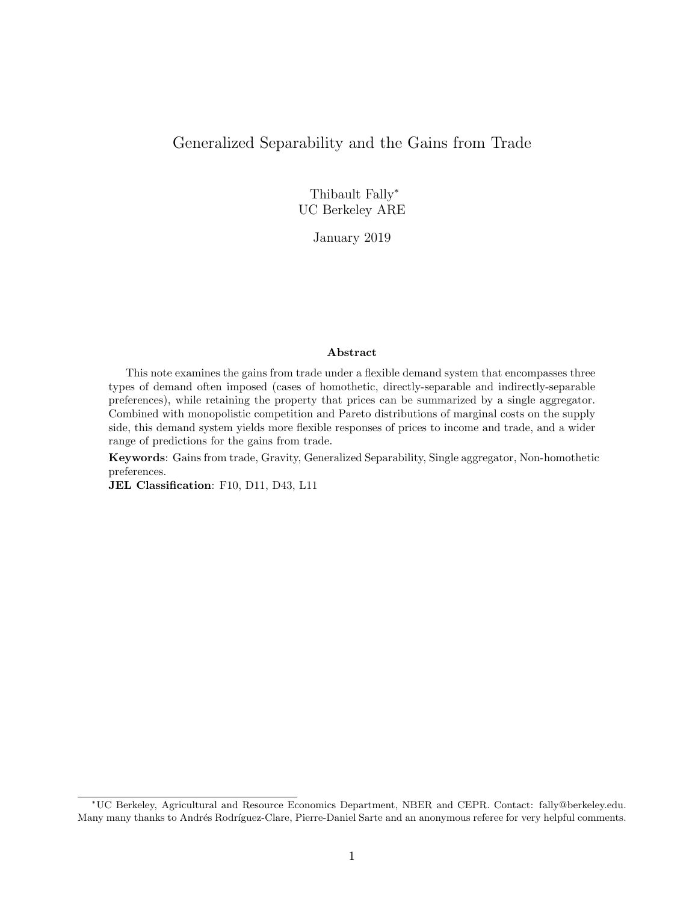# Generalized Separability and the Gains from Trade

Thibault Fally<sup>∗</sup> UC Berkeley ARE

January 2019

#### Abstract

This note examines the gains from trade under a flexible demand system that encompasses three types of demand often imposed (cases of homothetic, directly-separable and indirectly-separable preferences), while retaining the property that prices can be summarized by a single aggregator. Combined with monopolistic competition and Pareto distributions of marginal costs on the supply side, this demand system yields more flexible responses of prices to income and trade, and a wider range of predictions for the gains from trade.

Keywords: Gains from trade, Gravity, Generalized Separability, Single aggregator, Non-homothetic preferences.

JEL Classification: F10, D11, D43, L11

<sup>∗</sup>UC Berkeley, Agricultural and Resource Economics Department, NBER and CEPR. Contact: fally@berkeley.edu. Many many thanks to Andrés Rodríguez-Clare, Pierre-Daniel Sarte and an anonymous referee for very helpful comments.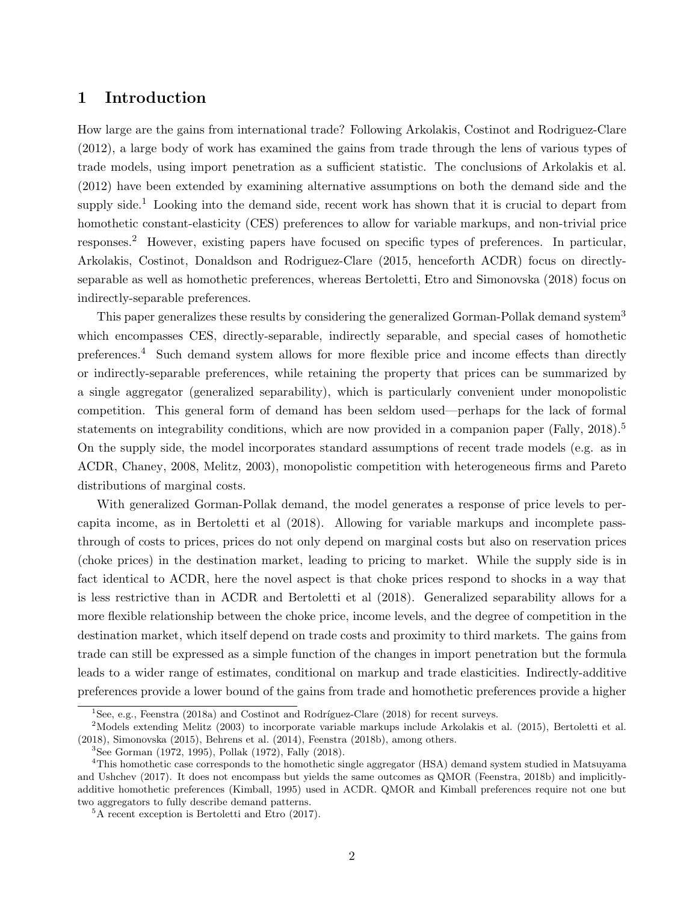# 1 Introduction

How large are the gains from international trade? Following Arkolakis, Costinot and Rodriguez-Clare (2012), a large body of work has examined the gains from trade through the lens of various types of trade models, using import penetration as a sufficient statistic. The conclusions of Arkolakis et al. (2012) have been extended by examining alternative assumptions on both the demand side and the supply side.<sup>1</sup> Looking into the demand side, recent work has shown that it is crucial to depart from homothetic constant-elasticity (CES) preferences to allow for variable markups, and non-trivial price responses.<sup>2</sup> However, existing papers have focused on specific types of preferences. In particular, Arkolakis, Costinot, Donaldson and Rodriguez-Clare (2015, henceforth ACDR) focus on directlyseparable as well as homothetic preferences, whereas Bertoletti, Etro and Simonovska (2018) focus on indirectly-separable preferences.

This paper generalizes these results by considering the generalized Gorman-Pollak demand system<sup>3</sup> which encompasses CES, directly-separable, indirectly separable, and special cases of homothetic preferences.<sup>4</sup> Such demand system allows for more flexible price and income effects than directly or indirectly-separable preferences, while retaining the property that prices can be summarized by a single aggregator (generalized separability), which is particularly convenient under monopolistic competition. This general form of demand has been seldom used—perhaps for the lack of formal statements on integrability conditions, which are now provided in a companion paper (Fally, 2018).<sup>5</sup> On the supply side, the model incorporates standard assumptions of recent trade models (e.g. as in ACDR, Chaney, 2008, Melitz, 2003), monopolistic competition with heterogeneous firms and Pareto distributions of marginal costs.

With generalized Gorman-Pollak demand, the model generates a response of price levels to percapita income, as in Bertoletti et al (2018). Allowing for variable markups and incomplete passthrough of costs to prices, prices do not only depend on marginal costs but also on reservation prices (choke prices) in the destination market, leading to pricing to market. While the supply side is in fact identical to ACDR, here the novel aspect is that choke prices respond to shocks in a way that is less restrictive than in ACDR and Bertoletti et al (2018). Generalized separability allows for a more flexible relationship between the choke price, income levels, and the degree of competition in the destination market, which itself depend on trade costs and proximity to third markets. The gains from trade can still be expressed as a simple function of the changes in import penetration but the formula leads to a wider range of estimates, conditional on markup and trade elasticities. Indirectly-additive preferences provide a lower bound of the gains from trade and homothetic preferences provide a higher

 $1$ See, e.g., Feenstra (2018a) and Costinot and Rodríguez-Clare (2018) for recent surveys.

 $2$ Models extending Melitz (2003) to incorporate variable markups include Arkolakis et al. (2015), Bertoletti et al. (2018), Simonovska (2015), Behrens et al. (2014), Feenstra (2018b), among others.

<sup>3</sup>See Gorman (1972, 1995), Pollak (1972), Fally (2018).

<sup>&</sup>lt;sup>4</sup>This homothetic case corresponds to the homothetic single aggregator (HSA) demand system studied in Matsuyama and Ushchev (2017). It does not encompass but yields the same outcomes as QMOR (Feenstra, 2018b) and implicitlyadditive homothetic preferences (Kimball, 1995) used in ACDR. QMOR and Kimball preferences require not one but two aggregators to fully describe demand patterns.

<sup>5</sup>A recent exception is Bertoletti and Etro (2017).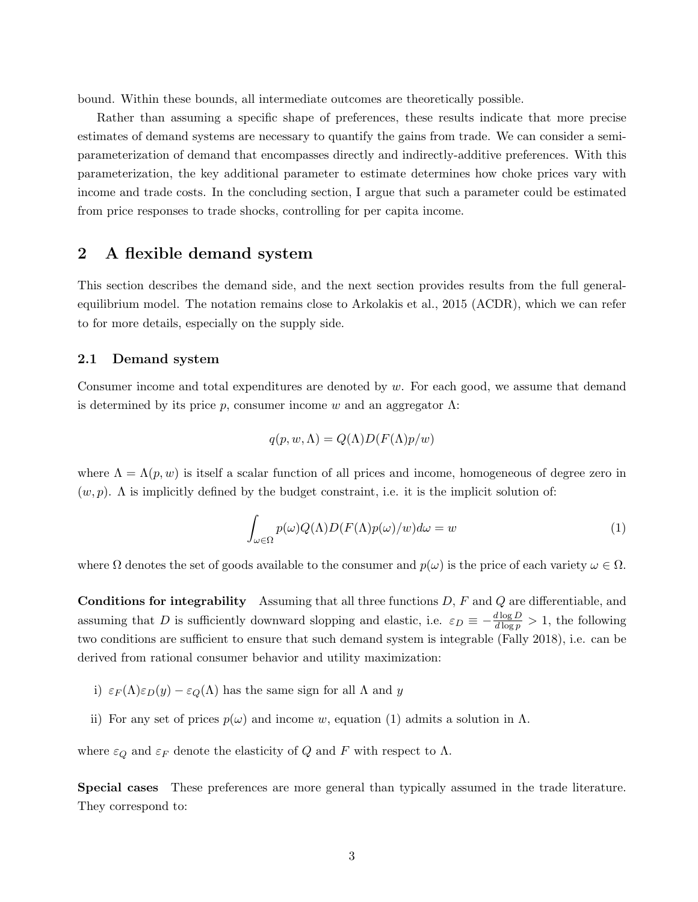bound. Within these bounds, all intermediate outcomes are theoretically possible.

Rather than assuming a specific shape of preferences, these results indicate that more precise estimates of demand systems are necessary to quantify the gains from trade. We can consider a semiparameterization of demand that encompasses directly and indirectly-additive preferences. With this parameterization, the key additional parameter to estimate determines how choke prices vary with income and trade costs. In the concluding section, I argue that such a parameter could be estimated from price responses to trade shocks, controlling for per capita income.

## 2 A flexible demand system

This section describes the demand side, and the next section provides results from the full generalequilibrium model. The notation remains close to Arkolakis et al., 2015 (ACDR), which we can refer to for more details, especially on the supply side.

#### 2.1 Demand system

Consumer income and total expenditures are denoted by w. For each good, we assume that demand is determined by its price p, consumer income w and an aggregator  $\Lambda$ :

$$
q(p, w, \Lambda) = Q(\Lambda)D(F(\Lambda)p/w)
$$

where  $\Lambda = \Lambda(p, w)$  is itself a scalar function of all prices and income, homogeneous of degree zero in  $(w, p)$ . A is implicitly defined by the budget constraint, i.e. it is the implicit solution of:

$$
\int_{\omega \in \Omega} p(\omega) Q(\Lambda) D(F(\Lambda) p(\omega)/w) d\omega = w \tag{1}
$$

where  $\Omega$  denotes the set of goods available to the consumer and  $p(\omega)$  is the price of each variety  $\omega \in \Omega$ .

**Conditions for integrability** Assuming that all three functions  $D$ ,  $F$  and  $Q$  are differentiable, and assuming that D is sufficiently downward slopping and elastic, i.e.  $\varepsilon_D \equiv -\frac{d \log D}{d \log p} > 1$ , the following two conditions are sufficient to ensure that such demand system is integrable (Fally 2018), i.e. can be derived from rational consumer behavior and utility maximization:

- i)  $\varepsilon_F(\Lambda)\varepsilon_D(y) \varepsilon_Q(\Lambda)$  has the same sign for all  $\Lambda$  and y
- ii) For any set of prices  $p(\omega)$  and income w, equation (1) admits a solution in  $\Lambda$ .

where  $\varepsilon_Q$  and  $\varepsilon_F$  denote the elasticity of  $Q$  and  $F$  with respect to  $\Lambda$ .

Special cases These preferences are more general than typically assumed in the trade literature. They correspond to: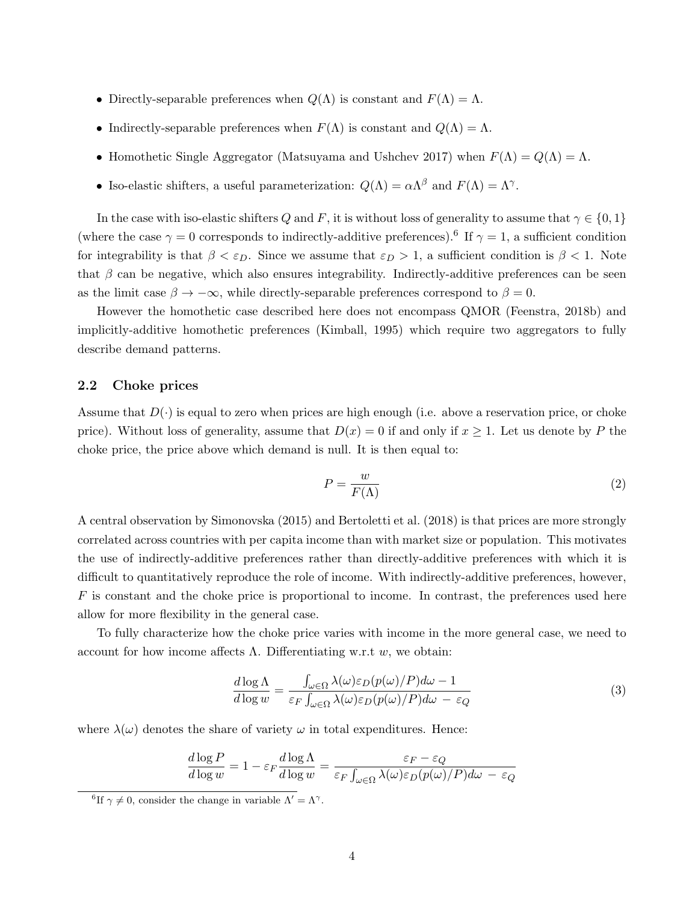- Directly-separable preferences when  $Q(\Lambda)$  is constant and  $F(\Lambda) = \Lambda$ .
- Indirectly-separable preferences when  $F(\Lambda)$  is constant and  $Q(\Lambda) = \Lambda$ .
- Homothetic Single Aggregator (Matsuyama and Ushchev 2017) when  $F(\Lambda) = Q(\Lambda) = \Lambda$ .
- Iso-elastic shifters, a useful parameterization:  $Q(\Lambda) = \alpha \Lambda^{\beta}$  and  $F(\Lambda) = \Lambda^{\gamma}$ .

In the case with iso-elastic shifters Q and F, it is without loss of generality to assume that  $\gamma \in \{0,1\}$ (where the case  $\gamma = 0$  corresponds to indirectly-additive preferences).<sup>6</sup> If  $\gamma = 1$ , a sufficient condition for integrability is that  $\beta < \varepsilon_D$ . Since we assume that  $\varepsilon_D > 1$ , a sufficient condition is  $\beta < 1$ . Note that  $\beta$  can be negative, which also ensures integrability. Indirectly-additive preferences can be seen as the limit case  $\beta \to -\infty$ , while directly-separable preferences correspond to  $\beta = 0$ .

However the homothetic case described here does not encompass QMOR (Feenstra, 2018b) and implicitly-additive homothetic preferences (Kimball, 1995) which require two aggregators to fully describe demand patterns.

### 2.2 Choke prices

Assume that  $D(\cdot)$  is equal to zero when prices are high enough (i.e. above a reservation price, or choke price). Without loss of generality, assume that  $D(x) = 0$  if and only if  $x \ge 1$ . Let us denote by P the choke price, the price above which demand is null. It is then equal to:

$$
P = \frac{w}{F(\Lambda)}\tag{2}
$$

A central observation by Simonovska (2015) and Bertoletti et al. (2018) is that prices are more strongly correlated across countries with per capita income than with market size or population. This motivates the use of indirectly-additive preferences rather than directly-additive preferences with which it is difficult to quantitatively reproduce the role of income. With indirectly-additive preferences, however,  $F$  is constant and the choke price is proportional to income. In contrast, the preferences used here allow for more flexibility in the general case.

To fully characterize how the choke price varies with income in the more general case, we need to account for how income affects  $\Lambda$ . Differentiating w.r.t w, we obtain:

$$
\frac{d \log \Lambda}{d \log w} = \frac{\int_{\omega \in \Omega} \lambda(\omega) \varepsilon_D(p(\omega)/P) d\omega - 1}{\varepsilon_F \int_{\omega \in \Omega} \lambda(\omega) \varepsilon_D(p(\omega)/P) d\omega - \varepsilon_Q} \tag{3}
$$

where  $\lambda(\omega)$  denotes the share of variety  $\omega$  in total expenditures. Hence:

$$
\frac{d \log P}{d \log w} = 1 - \varepsilon_F \frac{d \log \Lambda}{d \log w} = \frac{\varepsilon_F - \varepsilon_Q}{\varepsilon_F \int_{\omega \in \Omega} \lambda(\omega) \varepsilon_D(p(\omega)/P) d\omega - \varepsilon_Q}
$$

<sup>&</sup>lt;sup>6</sup>If  $\gamma \neq 0$ , consider the change in variable  $\Lambda' = \Lambda^{\gamma}$ .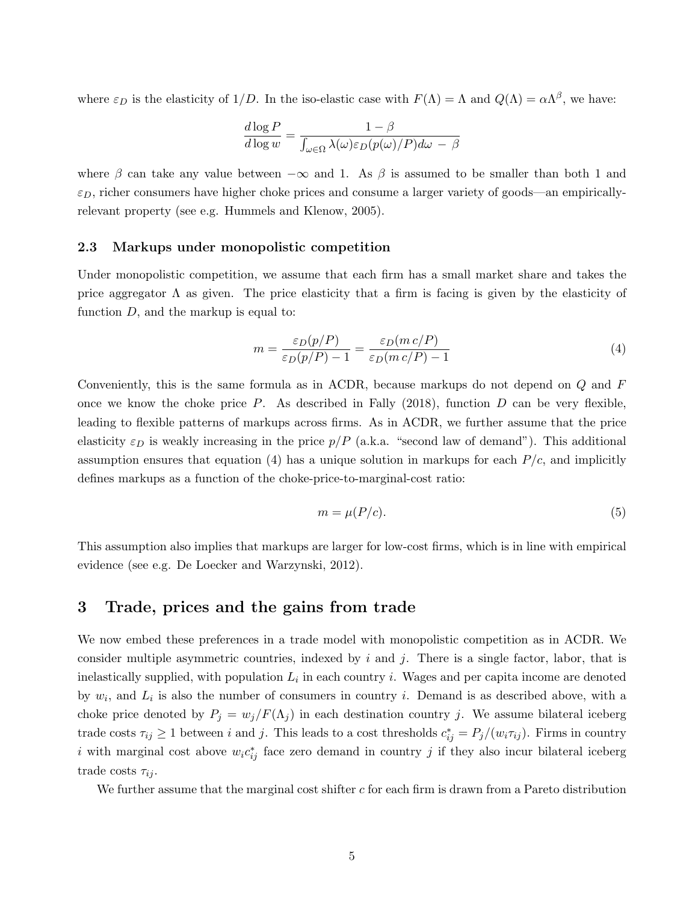where  $\varepsilon_D$  is the elasticity of  $1/D$ . In the iso-elastic case with  $F(\Lambda) = \Lambda$  and  $Q(\Lambda) = \alpha \Lambda^{\beta}$ , we have:

$$
\frac{d \log P}{d \log w} = \frac{1 - \beta}{\int_{\omega \in \Omega} \lambda(\omega) \varepsilon_D(p(\omega)/P) d\omega - \beta}
$$

where  $\beta$  can take any value between  $-\infty$  and 1. As  $\beta$  is assumed to be smaller than both 1 and  $\varepsilon_D$ , richer consumers have higher choke prices and consume a larger variety of goods—an empiricallyrelevant property (see e.g. Hummels and Klenow, 2005).

#### 2.3 Markups under monopolistic competition

Under monopolistic competition, we assume that each firm has a small market share and takes the price aggregator  $\Lambda$  as given. The price elasticity that a firm is facing is given by the elasticity of function  $D$ , and the markup is equal to:

$$
m = \frac{\varepsilon_D(p/P)}{\varepsilon_D(p/P) - 1} = \frac{\varepsilon_D(m \, c/P)}{\varepsilon_D(m \, c/P) - 1} \tag{4}
$$

Conveniently, this is the same formula as in ACDR, because markups do not depend on Q and F once we know the choke price  $P$ . As described in Fally (2018), function  $D$  can be very flexible, leading to flexible patterns of markups across firms. As in ACDR, we further assume that the price elasticity  $\varepsilon_D$  is weakly increasing in the price  $p/P$  (a.k.a. "second law of demand"). This additional assumption ensures that equation (4) has a unique solution in markups for each  $P/c$ , and implicitly defines markups as a function of the choke-price-to-marginal-cost ratio:

$$
m = \mu(P/c). \tag{5}
$$

This assumption also implies that markups are larger for low-cost firms, which is in line with empirical evidence (see e.g. De Loecker and Warzynski, 2012).

# 3 Trade, prices and the gains from trade

We now embed these preferences in a trade model with monopolistic competition as in ACDR. We consider multiple asymmetric countries, indexed by i and j. There is a single factor, labor, that is inelastically supplied, with population  $L_i$  in each country i. Wages and per capita income are denoted by  $w_i$ , and  $L_i$  is also the number of consumers in country i. Demand is as described above, with a choke price denoted by  $P_j = w_j/F(\Lambda_j)$  in each destination country j. We assume bilateral iceberg trade costs  $\tau_{ij} \ge 1$  between i and j. This leads to a cost thresholds  $c_{ij}^* = P_j/(w_i \tau_{ij})$ . Firms in country i with marginal cost above  $w_i c_{ij}^*$  face zero demand in country j if they also incur bilateral iceberg trade costs  $\tau_{ii}$ .

We further assume that the marginal cost shifter  $c$  for each firm is drawn from a Pareto distribution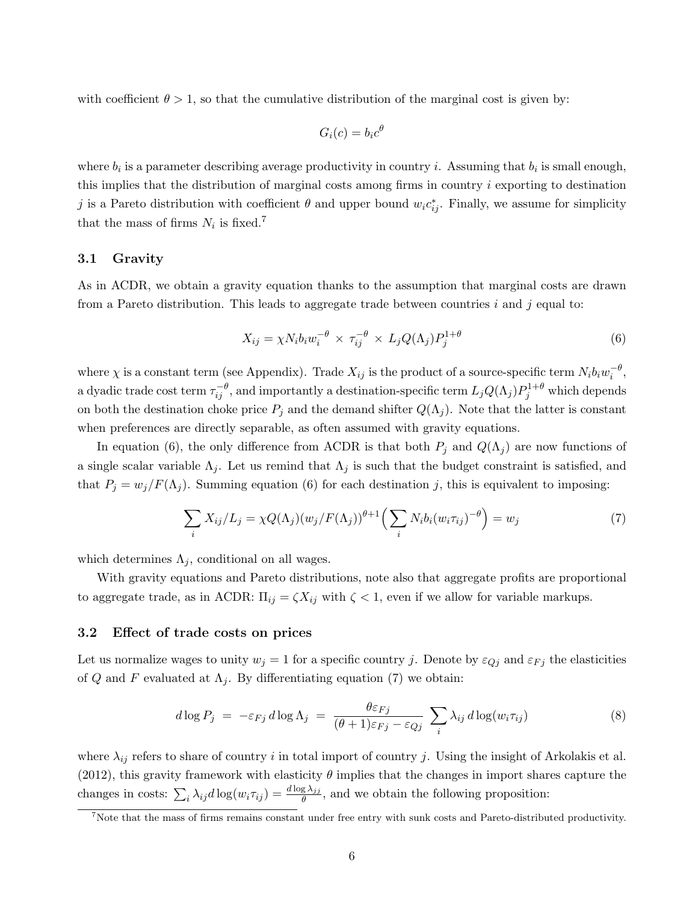with coefficient  $\theta > 1$ , so that the cumulative distribution of the marginal cost is given by:

$$
G_i(c) = b_i c^{\theta}
$$

where  $b_i$  is a parameter describing average productivity in country *i*. Assuming that  $b_i$  is small enough, this implies that the distribution of marginal costs among firms in country i exporting to destination j is a Pareto distribution with coefficient  $\theta$  and upper bound  $w_i c_{ij}^*$ . Finally, we assume for simplicity that the mass of firms  $N_i$  is fixed.<sup>7</sup>

#### 3.1 Gravity

As in ACDR, we obtain a gravity equation thanks to the assumption that marginal costs are drawn from a Pareto distribution. This leads to aggregate trade between countries  $i$  and  $j$  equal to:

$$
X_{ij} = \chi N_i b_i w_i^{-\theta} \times \tau_{ij}^{-\theta} \times L_j Q(\Lambda_j) P_j^{1+\theta}
$$
\n(6)

where  $\chi$  is a constant term (see Appendix). Trade  $X_{ij}$  is the product of a source-specific term  $N_i b_i w_i^{-\theta}$ , a dyadic trade cost term  $\tau_{ij}^{-\theta}$ , and importantly a destination-specific term  $L_j Q(\Lambda_j) P_j^{1+\theta}$  which depends on both the destination choke price  $P_j$  and the demand shifter  $Q(\Lambda_j)$ . Note that the latter is constant when preferences are directly separable, as often assumed with gravity equations.

In equation (6), the only difference from ACDR is that both  $P_j$  and  $Q(\Lambda_j)$  are now functions of a single scalar variable  $\Lambda_j$ . Let us remind that  $\Lambda_j$  is such that the budget constraint is satisfied, and that  $P_j = w_j/F(\Lambda_j)$ . Summing equation (6) for each destination j, this is equivalent to imposing:

$$
\sum_{i} X_{ij}/L_j = \chi Q(\Lambda_j) (w_j/F(\Lambda_j))^{\theta+1} \left( \sum_{i} N_i b_i (w_i \tau_{ij})^{-\theta} \right) = w_j \tag{7}
$$

which determines  $\Lambda_i$ , conditional on all wages.

With gravity equations and Pareto distributions, note also that aggregate profits are proportional to aggregate trade, as in ACDR:  $\Pi_{ij} = \zeta X_{ij}$  with  $\zeta < 1$ , even if we allow for variable markups.

### 3.2 Effect of trade costs on prices

Let us normalize wages to unity  $w_j = 1$  for a specific country j. Denote by  $\varepsilon_{Qj}$  and  $\varepsilon_{Fj}$  the elasticities of Q and F evaluated at  $\Lambda_j$ . By differentiating equation (7) we obtain:

$$
d \log P_j = -\varepsilon_{Fj} d \log \Lambda_j = \frac{\theta \varepsilon_{Fj}}{(\theta + 1)\varepsilon_{Fj} - \varepsilon_{Qj}} \sum_i \lambda_{ij} d \log(w_i \tau_{ij})
$$
(8)

where  $\lambda_{ij}$  refers to share of country i in total import of country j. Using the insight of Arkolakis et al. (2012), this gravity framework with elasticity  $\theta$  implies that the changes in import shares capture the changes in costs:  $\sum_i \lambda_{ij} d \log(w_i \tau_{ij}) = \frac{d \log \lambda_{jj}}{\theta}$ , and we obtain the following proposition:

 $7$ Note that the mass of firms remains constant under free entry with sunk costs and Pareto-distributed productivity.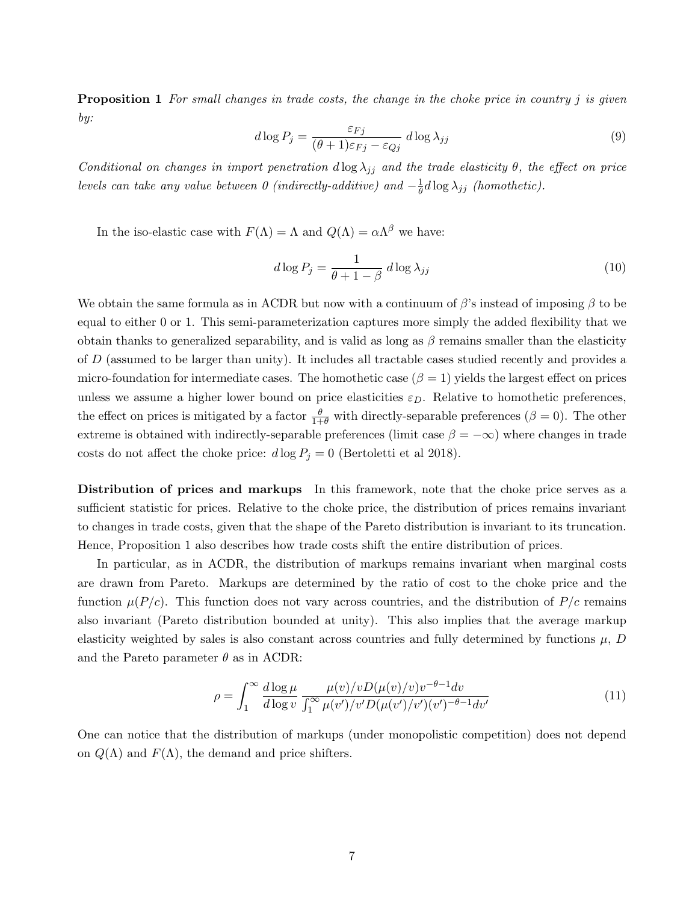**Proposition 1** For small changes in trade costs, the change in the choke price in country j is given by:

$$
d \log P_j = \frac{\varepsilon_{Fj}}{(\theta + 1)\varepsilon_{Fj} - \varepsilon_{Qj}} \, d \log \lambda_{jj} \tag{9}
$$

Conditional on changes in import penetration  $d \log \lambda_{jj}$  and the trade elasticity  $\theta$ , the effect on price levels can take any value between 0 (indirectly-additive) and  $-\frac{1}{\theta}$  $\frac{1}{\theta}d\log\lambda_{jj}$  (homothetic).

In the iso-elastic case with  $F(\Lambda) = \Lambda$  and  $Q(\Lambda) = \alpha \Lambda^{\beta}$  we have:

$$
d\log P_j = \frac{1}{\theta + 1 - \beta} \, d\log \lambda_{jj} \tag{10}
$$

We obtain the same formula as in ACDR but now with a continuum of  $\beta$ 's instead of imposing  $\beta$  to be equal to either 0 or 1. This semi-parameterization captures more simply the added flexibility that we obtain thanks to generalized separability, and is valid as long as  $\beta$  remains smaller than the elasticity of D (assumed to be larger than unity). It includes all tractable cases studied recently and provides a micro-foundation for intermediate cases. The homothetic case  $(\beta = 1)$  yields the largest effect on prices unless we assume a higher lower bound on price elasticities  $\varepsilon_D$ . Relative to homothetic preferences, the effect on prices is mitigated by a factor  $\frac{\theta}{1+\theta}$  with directly-separable preferences  $(\beta = 0)$ . The other extreme is obtained with indirectly-separable preferences (limit case  $\beta = -\infty$ ) where changes in trade costs do not affect the choke price:  $d \log P_j = 0$  (Bertoletti et al 2018).

Distribution of prices and markups In this framework, note that the choke price serves as a sufficient statistic for prices. Relative to the choke price, the distribution of prices remains invariant to changes in trade costs, given that the shape of the Pareto distribution is invariant to its truncation. Hence, Proposition 1 also describes how trade costs shift the entire distribution of prices.

In particular, as in ACDR, the distribution of markups remains invariant when marginal costs are drawn from Pareto. Markups are determined by the ratio of cost to the choke price and the function  $\mu(P/c)$ . This function does not vary across countries, and the distribution of  $P/c$  remains also invariant (Pareto distribution bounded at unity). This also implies that the average markup elasticity weighted by sales is also constant across countries and fully determined by functions  $\mu$ , D and the Pareto parameter  $\theta$  as in ACDR:

$$
\rho = \int_{1}^{\infty} \frac{d \log \mu}{d \log v} \frac{\mu(v)/v D(\mu(v)/v) v^{-\theta - 1} dv}{\int_{1}^{\infty} \mu(v')/v' D(\mu(v')/v') (v')^{-\theta - 1} dv'} \tag{11}
$$

One can notice that the distribution of markups (under monopolistic competition) does not depend on  $Q(\Lambda)$  and  $F(\Lambda)$ , the demand and price shifters.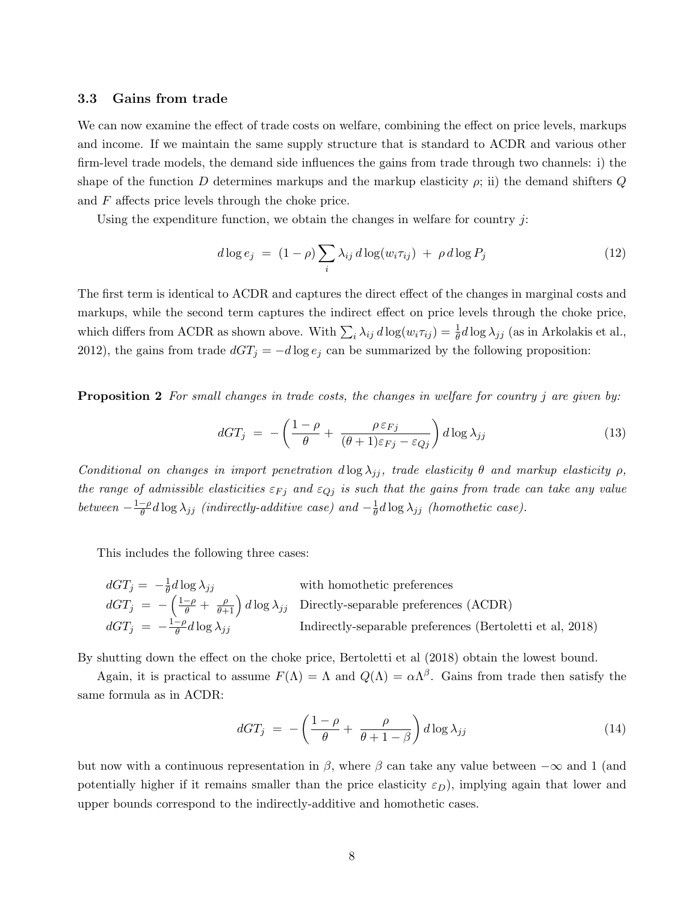#### 3.3 Gains from trade

We can now examine the effect of trade costs on welfare, combining the effect on price levels, markups and income. If we maintain the same supply structure that is standard to ACDR and various other firm-level trade models, the demand side influences the gains from trade through two channels: i) the shape of the function D determines markups and the markup elasticity  $\rho$ ; ii) the demand shifters  $Q$ and F affects price levels through the choke price.

Using the expenditure function, we obtain the changes in welfare for country  $j$ :

$$
d\log e_j = (1 - \rho) \sum_i \lambda_{ij} d\log(w_i \tau_{ij}) + \rho d\log P_j \tag{12}
$$

The first term is identical to ACDR and captures the direct effect of the changes in marginal costs and markups, while the second term captures the indirect effect on price levels through the choke price, which differs from ACDR as shown above. With  $\sum_i \lambda_{ij} d \log(w_i \tau_{ij}) = \frac{1}{\theta} d \log \lambda_{jj}$  (as in Arkolakis et al., 2012), the gains from trade  $dGT_j = -d \log e_j$  can be summarized by the following proposition:

**Proposition 2** For small changes in trade costs, the changes in welfare for country j are given by:

$$
dGT_j = -\left(\frac{1-\rho}{\theta} + \frac{\rho \varepsilon_{Fj}}{(\theta+1)\varepsilon_{Fj} - \varepsilon_{Qj}}\right) d\log \lambda_{jj}
$$
(13)

Conditional on changes in import penetration  $d \log \lambda_{ij}$ , trade elasticity  $\theta$  and markup elasticity  $\rho$ , the range of admissible elasticities  $\varepsilon_{Fj}$  and  $\varepsilon_{Qj}$  is such that the gains from trade can take any value between  $-\frac{1-\rho}{\theta}$  $\frac{-\rho}{\theta}d\log\lambda_{jj}$  (indirectly-additive case) and  $-\frac{1}{\theta}$  $\frac{1}{\theta}d\log\lambda_{jj}$  (homothetic case).

This includes the following three cases:

$$
dGT_j = -\frac{1}{\theta}d\log \lambda_{jj}
$$
 with homothetic preferences  
\n
$$
dGT_j = -\left(\frac{1-\rho}{\theta} + \frac{\rho}{\theta+1}\right)d\log \lambda_{jj}
$$
 Directly-separable preferences (ACDR)  
\n
$$
dGT_j = -\frac{1-\rho}{\theta}d\log \lambda_{jj}
$$
 Indirectly-separable preferences (Bertoletti et al, 2018)

By shutting down the effect on the choke price, Bertoletti et al (2018) obtain the lowest bound.

Again, it is practical to assume  $F(\Lambda) = \Lambda$  and  $Q(\Lambda) = \alpha \Lambda^{\beta}$ . Gains from trade then satisfy the same formula as in ACDR:

$$
dGT_j = -\left(\frac{1-\rho}{\theta} + \frac{\rho}{\theta+1-\beta}\right) d\log \lambda_{jj}
$$
\n(14)

but now with a continuous representation in  $\beta$ , where  $\beta$  can take any value between  $-\infty$  and 1 (and potentially higher if it remains smaller than the price elasticity  $\varepsilon_D$ ), implying again that lower and upper bounds correspond to the indirectly-additive and homothetic cases.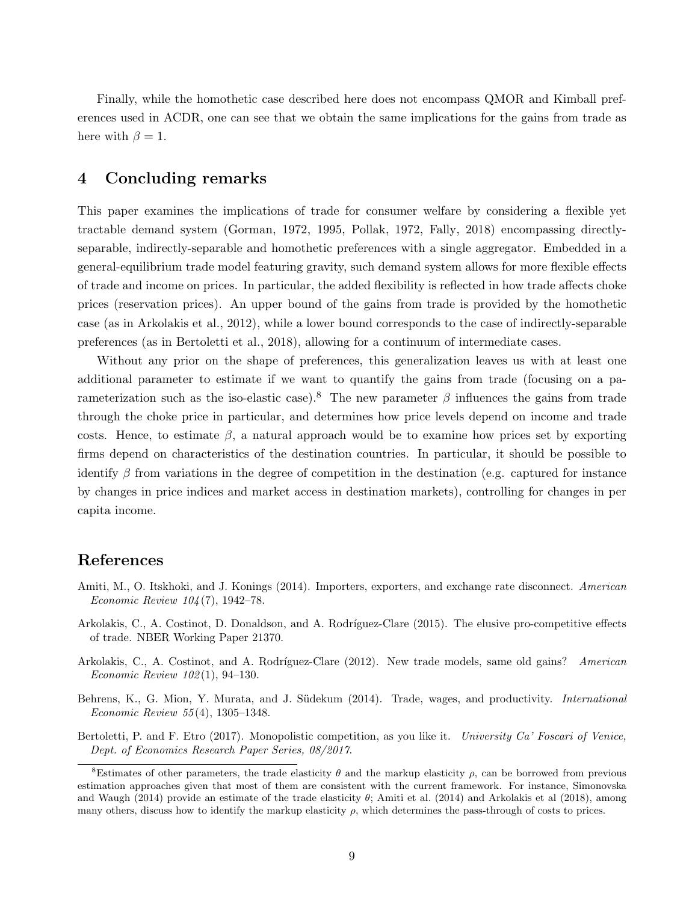Finally, while the homothetic case described here does not encompass QMOR and Kimball preferences used in ACDR, one can see that we obtain the same implications for the gains from trade as here with  $\beta = 1$ .

# 4 Concluding remarks

This paper examines the implications of trade for consumer welfare by considering a flexible yet tractable demand system (Gorman, 1972, 1995, Pollak, 1972, Fally, 2018) encompassing directlyseparable, indirectly-separable and homothetic preferences with a single aggregator. Embedded in a general-equilibrium trade model featuring gravity, such demand system allows for more flexible effects of trade and income on prices. In particular, the added flexibility is reflected in how trade affects choke prices (reservation prices). An upper bound of the gains from trade is provided by the homothetic case (as in Arkolakis et al., 2012), while a lower bound corresponds to the case of indirectly-separable preferences (as in Bertoletti et al., 2018), allowing for a continuum of intermediate cases.

Without any prior on the shape of preferences, this generalization leaves us with at least one additional parameter to estimate if we want to quantify the gains from trade (focusing on a parameterization such as the iso-elastic case).<sup>8</sup> The new parameter  $\beta$  influences the gains from trade through the choke price in particular, and determines how price levels depend on income and trade costs. Hence, to estimate  $\beta$ , a natural approach would be to examine how prices set by exporting firms depend on characteristics of the destination countries. In particular, it should be possible to identify  $\beta$  from variations in the degree of competition in the destination (e.g. captured for instance by changes in price indices and market access in destination markets), controlling for changes in per capita income.

# References

- Amiti, M., O. Itskhoki, and J. Konings (2014). Importers, exporters, and exchange rate disconnect. American Economic Review 104 (7), 1942–78.
- Arkolakis, C., A. Costinot, D. Donaldson, and A. Rodríguez-Clare (2015). The elusive pro-competitive effects of trade. NBER Working Paper 21370.
- Arkolakis, C., A. Costinot, and A. Rodríguez-Clare (2012). New trade models, same old gains? American Economic Review 102 (1), 94–130.
- Behrens, K., G. Mion, Y. Murata, and J. Südekum (2014). Trade, wages, and productivity. *International* Economic Review 55 (4), 1305–1348.
- Bertoletti, P. and F. Etro (2017). Monopolistic competition, as you like it. University Ca' Foscari of Venice, Dept. of Economics Research Paper Series, 08/2017.

<sup>&</sup>lt;sup>8</sup>Estimates of other parameters, the trade elasticity  $\theta$  and the markup elasticity  $\rho$ , can be borrowed from previous estimation approaches given that most of them are consistent with the current framework. For instance, Simonovska and Waugh (2014) provide an estimate of the trade elasticity  $\theta$ ; Amiti et al. (2014) and Arkolakis et al (2018), among many others, discuss how to identify the markup elasticity  $\rho$ , which determines the pass-through of costs to prices.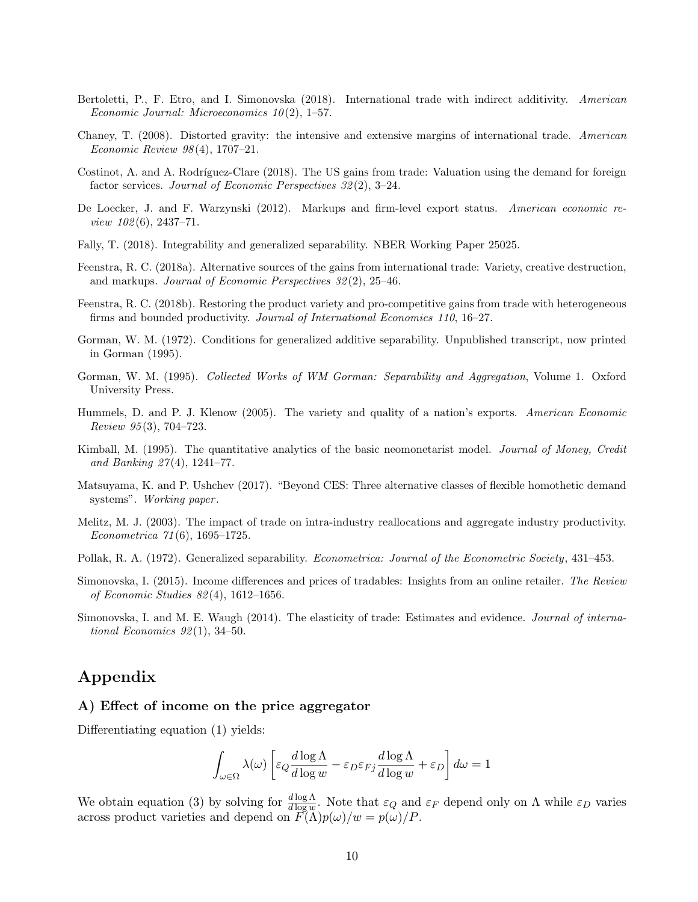- Bertoletti, P., F. Etro, and I. Simonovska (2018). International trade with indirect additivity. American Economic Journal: Microeconomics  $10(2)$ , 1–57.
- Chaney, T. (2008). Distorted gravity: the intensive and extensive margins of international trade. American Economic Review 98 (4), 1707–21.
- Costinot, A. and A. Rodríguez-Clare (2018). The US gains from trade: Valuation using the demand for foreign factor services. Journal of Economic Perspectives 32 (2), 3–24.
- De Loecker, J. and F. Warzynski (2012). Markups and firm-level export status. American economic re*view 102*(6), 2437–71.
- Fally, T. (2018). Integrability and generalized separability. NBER Working Paper 25025.
- Feenstra, R. C. (2018a). Alternative sources of the gains from international trade: Variety, creative destruction, and markups. Journal of Economic Perspectives 32 (2), 25–46.
- Feenstra, R. C. (2018b). Restoring the product variety and pro-competitive gains from trade with heterogeneous firms and bounded productivity. Journal of International Economics 110, 16–27.
- Gorman, W. M. (1972). Conditions for generalized additive separability. Unpublished transcript, now printed in Gorman (1995).
- Gorman, W. M. (1995). Collected Works of WM Gorman: Separability and Aggregation, Volume 1. Oxford University Press.
- Hummels, D. and P. J. Klenow (2005). The variety and quality of a nation's exports. American Economic Review 95 (3), 704–723.
- Kimball, M. (1995). The quantitative analytics of the basic neomonetarist model. Journal of Money, Credit and Banking 27 (4), 1241–77.
- Matsuyama, K. and P. Ushchev (2017). "Beyond CES: Three alternative classes of flexible homothetic demand systems". Working paper.
- Melitz, M. J. (2003). The impact of trade on intra-industry reallocations and aggregate industry productivity. Econometrica 71 (6), 1695–1725.
- Pollak, R. A. (1972). Generalized separability. *Econometrica: Journal of the Econometric Society*, 431–453.
- Simonovska, I. (2015). Income differences and prices of tradables: Insights from an online retailer. The Review of Economic Studies 82 (4), 1612–1656.
- Simonovska, I. and M. E. Waugh (2014). The elasticity of trade: Estimates and evidence. Journal of international Economics  $92(1)$ , 34-50.

### Appendix

### A) Effect of income on the price aggregator

Differentiating equation (1) yields:

$$
\int_{\omega \in \Omega} \lambda(\omega) \left[ \varepsilon_Q \frac{d \log \Lambda}{d \log w} - \varepsilon_D \varepsilon_{Fj} \frac{d \log \Lambda}{d \log w} + \varepsilon_D \right] d\omega = 1
$$

We obtain equation (3) by solving for  $\frac{d \log \Lambda}{d \log w}$ . Note that  $\varepsilon_Q$  and  $\varepsilon_F$  depend only on  $\Lambda$  while  $\varepsilon_D$  varies across product varieties and depend on  $F(\Lambda)p(\omega)/w = p(\omega)/P$ .